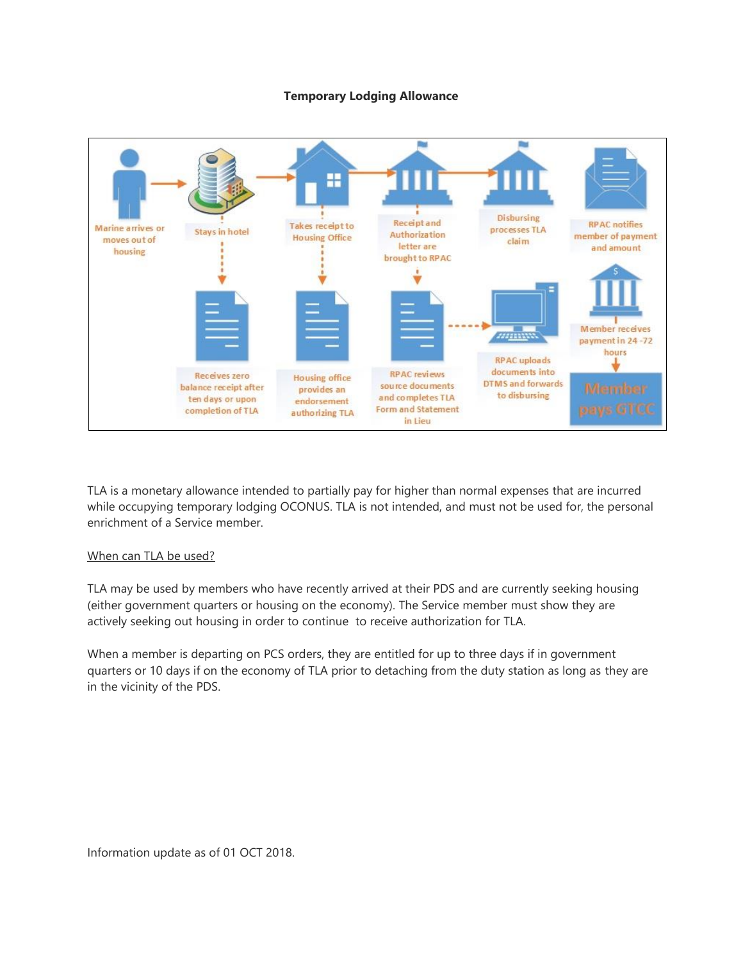#### **Temporary Lodging Allowance**



TLA is a monetary allowance intended to partially pay for higher than normal expenses that are incurred while occupying temporary lodging OCONUS. TLA is not intended, and must not be used for, the personal enrichment of a Service member.

# When can TLA be used?

TLA may be used by members who have recently arrived at their PDS and are currently seeking housing (either government quarters or housing on the economy). The Service member must show they are actively seeking out housing in order to continue to receive authorization for TLA.

When a member is departing on PCS orders, they are entitled for up to three days if in government quarters or 10 days if on the economy of TLA prior to detaching from the duty station as long as they are in the vicinity of the PDS.

Information update as of 01 OCT 2018.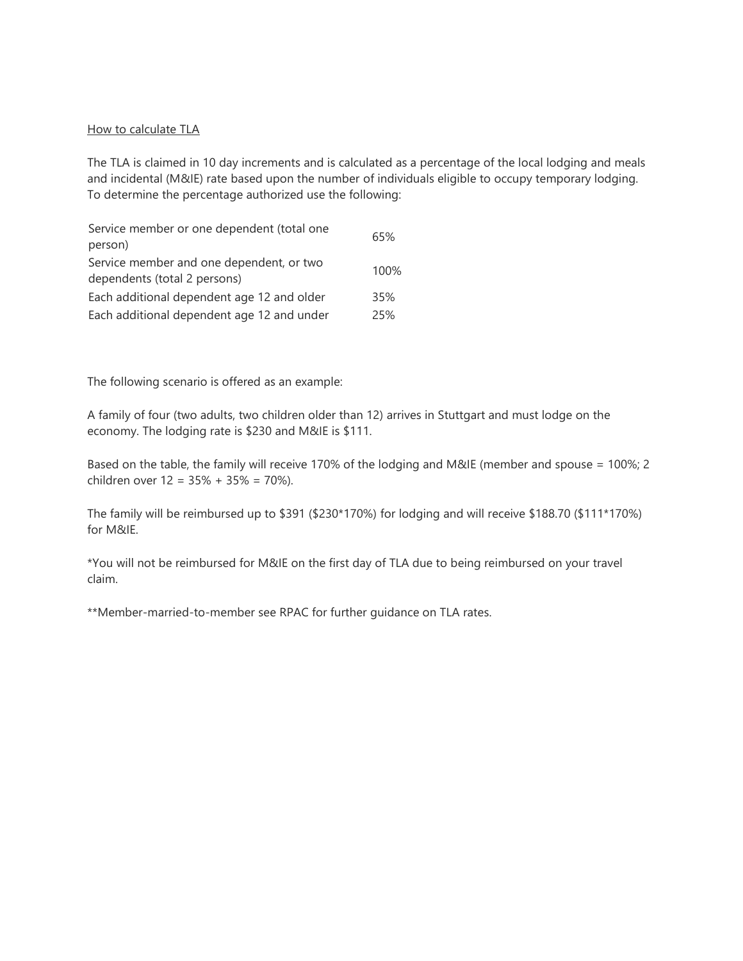# How to calculate TLA

The TLA is claimed in 10 day increments and is calculated as a percentage of the local lodging and meals and incidental (M&IE) rate based upon the number of individuals eligible to occupy temporary lodging. To determine the percentage authorized use the following:

| 65%  |
|------|
|      |
| 100% |
| 35%  |
| 25%  |
|      |

The following scenario is offered as an example:

A family of four (two adults, two children older than 12) arrives in Stuttgart and must lodge on the economy. The lodging rate is \$230 and M&IE is \$111.

Based on the table, the family will receive 170% of the lodging and M&IE (member and spouse = 100%; 2 children over 12 = 35% + 35% = 70%).

The family will be reimbursed up to \$391 (\$230\*170%) for lodging and will receive \$188.70 (\$111\*170%) for M&IE.

\*You will not be reimbursed for M&IE on the first day of TLA due to being reimbursed on your travel claim.

\*\*Member-married-to-member see RPAC for further guidance on TLA rates.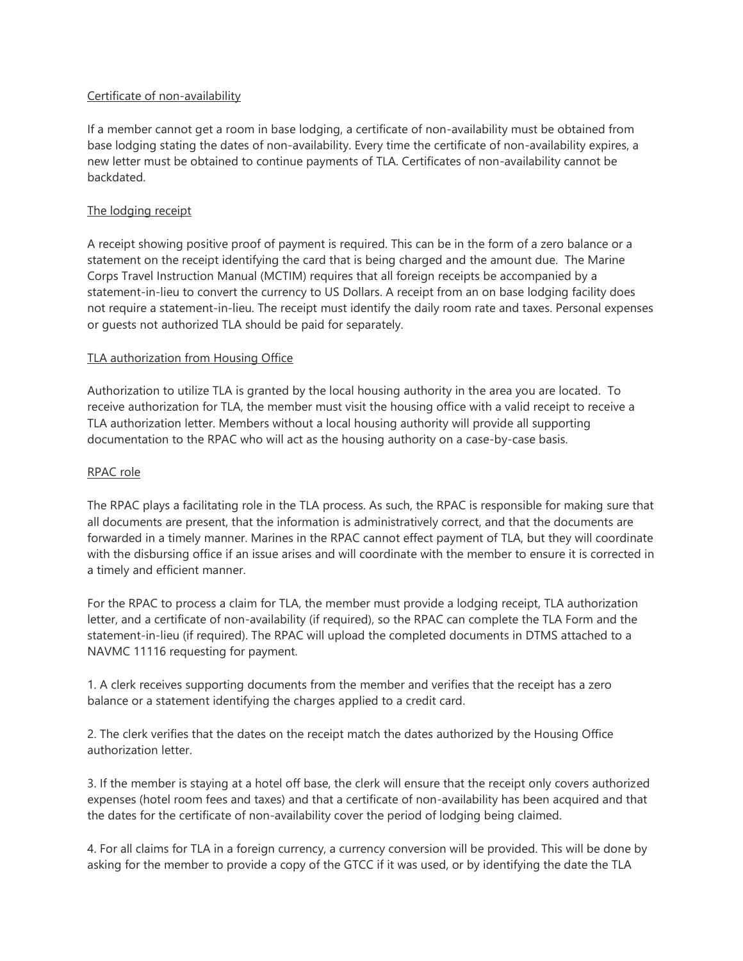# Certificate of non-availability

If a member cannot get a room in base lodging, a certificate of non-availability must be obtained from base lodging stating the dates of non-availability. Every time the certificate of non-availability expires, a new letter must be obtained to continue payments of TLA. Certificates of non-availability cannot be backdated.

# The lodging receipt

A receipt showing positive proof of payment is required. This can be in the form of a zero balance or a statement on the receipt identifying the card that is being charged and the amount due. The Marine Corps Travel Instruction Manual (MCTIM) requires that all foreign receipts be accompanied by a statement-in-lieu to convert the currency to US Dollars. A receipt from an on base lodging facility does not require a statement-in-lieu. The receipt must identify the daily room rate and taxes. Personal expenses or guests not authorized TLA should be paid for separately.

# TLA authorization from Housing Office

Authorization to utilize TLA is granted by the local housing authority in the area you are located. To receive authorization for TLA, the member must visit the housing office with a valid receipt to receive a TLA authorization letter. Members without a local housing authority will provide all supporting documentation to the RPAC who will act as the housing authority on a case-by-case basis.

# RPAC role

The RPAC plays a facilitating role in the TLA process. As such, the RPAC is responsible for making sure that all documents are present, that the information is administratively correct, and that the documents are forwarded in a timely manner. Marines in the RPAC cannot effect payment of TLA, but they will coordinate with the disbursing office if an issue arises and will coordinate with the member to ensure it is corrected in a timely and efficient manner.

For the RPAC to process a claim for TLA, the member must provide a lodging receipt, TLA authorization letter, and a certificate of non-availability (if required), so the RPAC can complete the TLA Form and the statement-in-lieu (if required). The RPAC will upload the completed documents in DTMS attached to a NAVMC 11116 requesting for payment.

1. A clerk receives supporting documents from the member and verifies that the receipt has a zero balance or a statement identifying the charges applied to a credit card.

2. The clerk verifies that the dates on the receipt match the dates authorized by the Housing Office authorization letter.

3. If the member is staying at a hotel off base, the clerk will ensure that the receipt only covers authorized expenses (hotel room fees and taxes) and that a certificate of non-availability has been acquired and that the dates for the certificate of non-availability cover the period of lodging being claimed.

4. For all claims for TLA in a foreign currency, a currency conversion will be provided. This will be done by asking for the member to provide a copy of the GTCC if it was used, or by identifying the date the TLA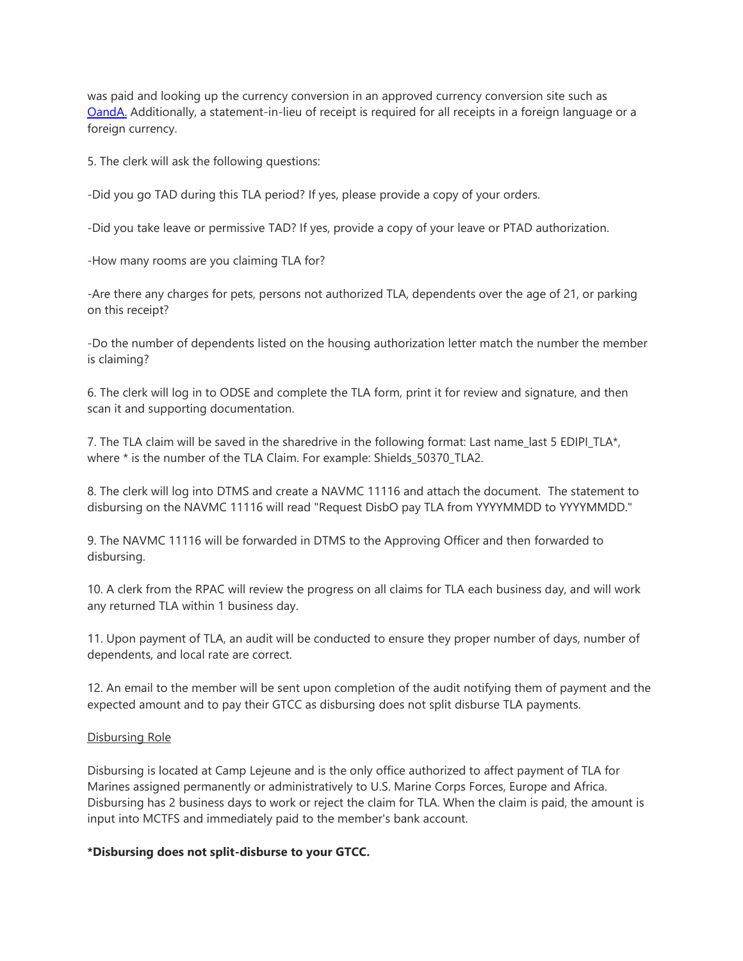was paid and looking up the currency conversion in an approved currency conversion site such as [OandA.](https://www.oanda.com/currency/converter/) Additionally, a statement-in-lieu of receipt is required for all receipts in a foreign language or a foreign currency.

5. The clerk will ask the following questions:

-Did you go TAD during this TLA period? If yes, please provide a copy of your orders.

-Did you take leave or permissive TAD? If yes, provide a copy of your leave or PTAD authorization.

-How many rooms are you claiming TLA for?

-Are there any charges for pets, persons not authorized TLA, dependents over the age of 21, or parking on this receipt?

-Do the number of dependents listed on the housing authorization letter match the number the member is claiming?

6. The clerk will log in to ODSE and complete the TLA form, print it for review and signature, and then scan it and supporting documentation.

7. The TLA claim will be saved in the sharedrive in the following format: Last name last 5 EDIPI TLA\*, where \* is the number of the TLA Claim. For example: Shields\_50370\_TLA2.

8. The clerk will log into DTMS and create a NAVMC 11116 and attach the document. The statement to disbursing on the NAVMC 11116 will read "Request DisbO pay TLA from YYYYMMDD to YYYYMMDD."

9. The NAVMC 11116 will be forwarded in DTMS to the Approving Officer and then forwarded to disbursing.

10. A clerk from the RPAC will review the progress on all claims for TLA each business day, and will work any returned TLA within 1 business day.

11. Upon payment of TLA, an audit will be conducted to ensure they proper number of days, number of dependents, and local rate are correct.

12. An email to the member will be sent upon completion of the audit notifying them of payment and the expected amount and to pay their GTCC as disbursing does not split disburse TLA payments.

#### Disbursing Role

Disbursing is located at Camp Lejeune and is the only office authorized to affect payment of TLA for Marines assigned permanently or administratively to U.S. Marine Corps Forces, Europe and Africa. Disbursing has 2 business days to work or reject the claim for TLA. When the claim is paid, the amount is input into MCTFS and immediately paid to the member's bank account.

#### **\*Disbursing does not split-disburse to your GTCC.**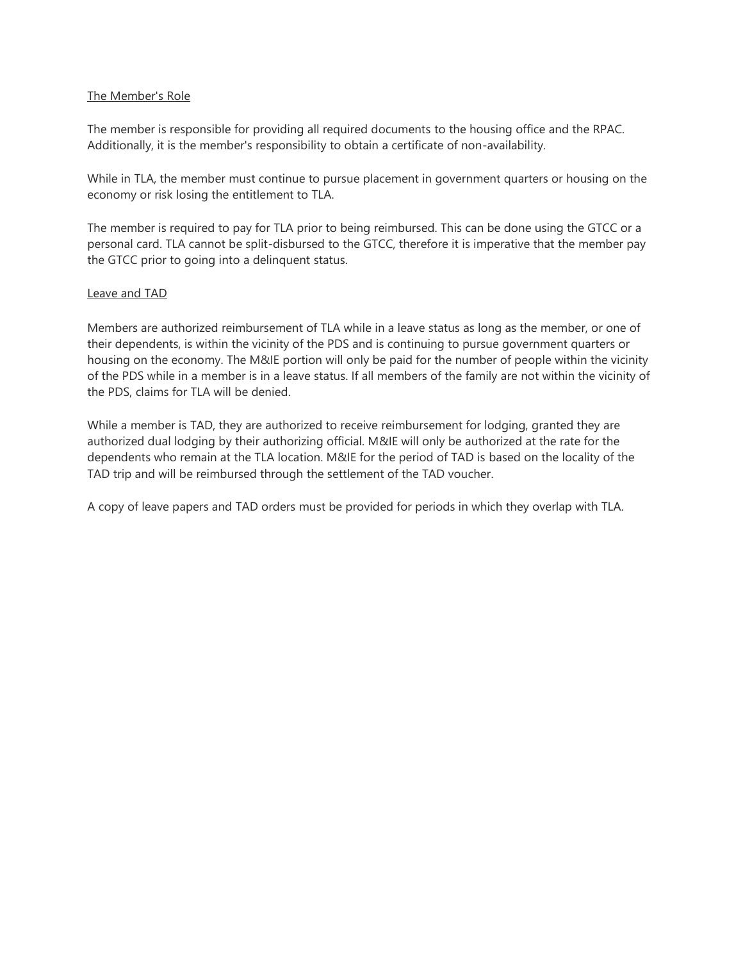#### The Member's Role

The member is responsible for providing all required documents to the housing office and the RPAC. Additionally, it is the member's responsibility to obtain a certificate of non-availability.

While in TLA, the member must continue to pursue placement in government quarters or housing on the economy or risk losing the entitlement to TLA.

The member is required to pay for TLA prior to being reimbursed. This can be done using the GTCC or a personal card. TLA cannot be split-disbursed to the GTCC, therefore it is imperative that the member pay the GTCC prior to going into a delinquent status.

#### Leave and TAD

Members are authorized reimbursement of TLA while in a leave status as long as the member, or one of their dependents, is within the vicinity of the PDS and is continuing to pursue government quarters or housing on the economy. The M&IE portion will only be paid for the number of people within the vicinity of the PDS while in a member is in a leave status. If all members of the family are not within the vicinity of the PDS, claims for TLA will be denied.

While a member is TAD, they are authorized to receive reimbursement for lodging, granted they are authorized dual lodging by their authorizing official. M&IE will only be authorized at the rate for the dependents who remain at the TLA location. M&IE for the period of TAD is based on the locality of the TAD trip and will be reimbursed through the settlement of the TAD voucher.

A copy of leave papers and TAD orders must be provided for periods in which they overlap with TLA.